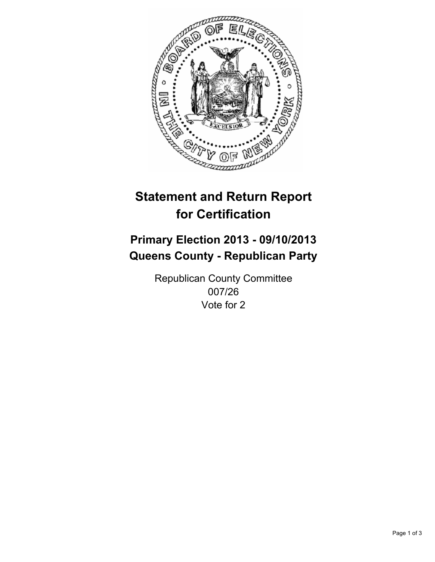

# **Statement and Return Report for Certification**

# **Primary Election 2013 - 09/10/2013 Queens County - Republican Party**

Republican County Committee 007/26 Vote for 2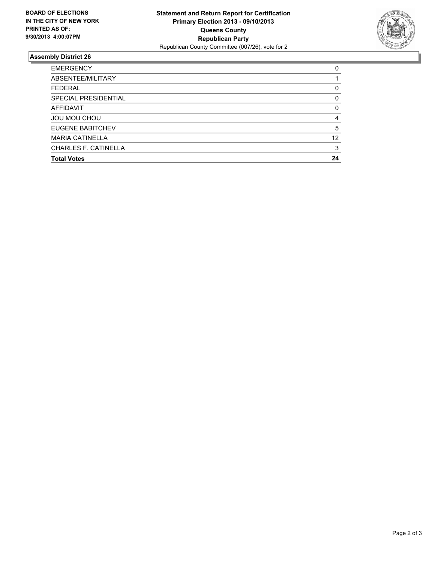

## **Assembly District 26**

| <b>EMERGENCY</b>            | 0        |
|-----------------------------|----------|
| ABSENTEE/MILITARY           |          |
| <b>FEDERAL</b>              | 0        |
| <b>SPECIAL PRESIDENTIAL</b> | 0        |
| <b>AFFIDAVIT</b>            | $\Omega$ |
| <b>JOU MOU CHOU</b>         | 4        |
| EUGENE BABITCHEV            | 5        |
| <b>MARIA CATINELLA</b>      | 12       |
| <b>CHARLES F. CATINELLA</b> | 3        |
| <b>Total Votes</b>          | 24       |